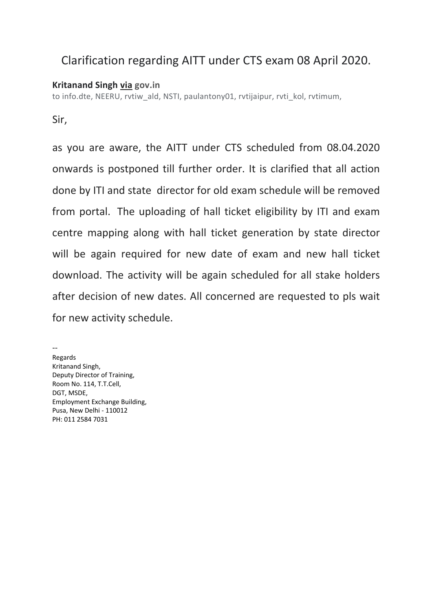## Clarification regarding AITT under CTS exam 08 April 2020.

## **Kritanand Singh via gov.in**

to info.dte, NEERU, rvtiw\_ald, NSTI, paulantony01, rvtijaipur, rvti\_kol, rvtimum,

Sir,

as you are aware, the AITT under CTS scheduled from 08.04.2020 onwards is postponed till further order. It is clarified that all action done by ITI and state director for old exam schedule will be removed from portal. The uploading of hall ticket eligibility by ITI and exam centre mapping along with hall ticket generation by state director will be again required for new date of exam and new hall ticket download. The activity will be again scheduled for all stake holders after decision of new dates. All concerned are requested to pls wait for new activity schedule.

 $\overline{a}$ Regards Kritanand Singh, Deputy Director of Training, Room No. 114, T.T.Cell, DGT, MSDE, Employment Exchange Building, Pusa, New Delhi ‐ 110012 PH: 011 2584 7031